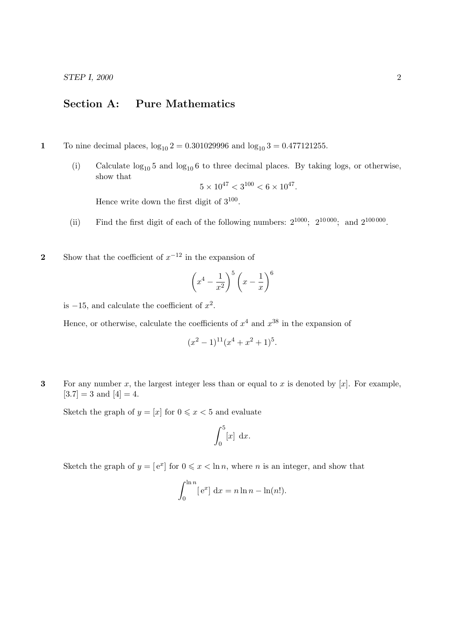STEP I, 2000 2

## Section A: Pure Mathematics

- 1 To nine decimal places,  $log_{10} 2 = 0.301029996$  and  $log_{10} 3 = 0.477121255$ .
	- (i) Calculate  $log_{10} 5$  and  $log_{10} 6$  to three decimal places. By taking logs, or otherwise, show that

$$
5 \times 10^{47} < 3^{100} < 6 \times 10^{47}.
$$

Hence write down the first digit of  $3^{100}$ .

- (ii) Find the first digit of each of the following numbers:  $2^{1000}$ ;  $2^{10000}$ ; and  $2^{100000}$ .
- 2 Show that the coefficient of  $x^{-12}$  in the expansion of

$$
\left(x^4 - \frac{1}{x^2}\right)^5 \left(x - \frac{1}{x}\right)^6
$$

is  $-15$ , and calculate the coefficient of  $x^2$ .

Hence, or otherwise, calculate the coefficients of  $x^4$  and  $x^{38}$  in the expansion of

$$
(x^2-1)^{11}(x^4+x^2+1)^5
$$
.

3 For any number x, the largest integer less than or equal to x is denoted by  $[x]$ . For example,  $[3.7] = 3$  and  $[4] = 4$ .

Sketch the graph of  $y = [x]$  for  $0 \le x < 5$  and evaluate

$$
\int_0^5 [x] \, \mathrm{d}x.
$$

Sketch the graph of  $y = [e^x]$  for  $0 \le x < \ln n$ , where n is an integer, and show that

$$
\int_0^{\ln n} [e^x] dx = n \ln n - \ln(n!).
$$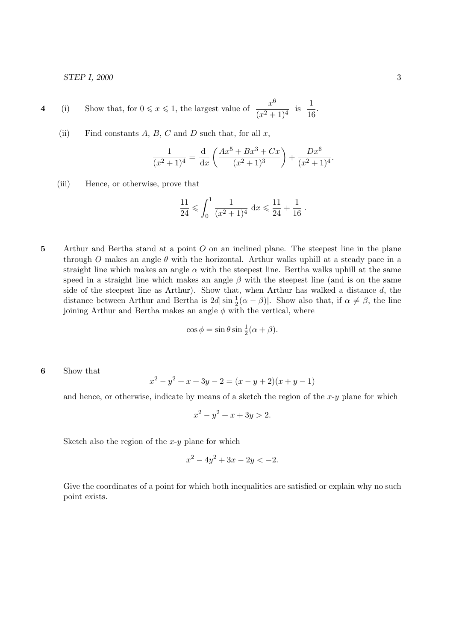STEP I, 2000 3

4 (i) Show that, for 
$$
0 \le x \le 1
$$
, the largest value of  $\frac{x^6}{(x^2+1)^4}$  is  $\frac{1}{16}$ .

(ii) Find constants  $A, B, C$  and  $D$  such that, for all  $x$ ,

$$
\frac{1}{(x^{2}+1)^{4}} = \frac{d}{dx} \left( \frac{Ax^{5} + Bx^{3} + Cx}{(x^{2}+1)^{3}} \right) + \frac{Dx^{6}}{(x^{2}+1)^{4}}.
$$

(iii) Hence, or otherwise, prove that

$$
\frac{11}{24} \leqslant \int_0^1 \frac{1}{(x^2+1)^4} \, \mathrm{d}x \leqslant \frac{11}{24} + \frac{1}{16} \, .
$$

5 Arthur and Bertha stand at a point O on an inclined plane. The steepest line in the plane through O makes an angle  $\theta$  with the horizontal. Arthur walks uphill at a steady pace in a straight line which makes an angle  $\alpha$  with the steepest line. Bertha walks uphill at the same speed in a straight line which makes an angle  $\beta$  with the steepest line (and is on the same side of the steepest line as Arthur). Show that, when Arthur has walked a distance d, the distance between Arthur and Bertha is  $2d|\sin \frac{1}{2}(\alpha - \beta)|$ . Show also that, if  $\alpha \neq \beta$ , the line joining Arthur and Bertha makes an angle  $\phi$  with the vertical, where

$$
\cos \phi = \sin \theta \sin \frac{1}{2}(\alpha + \beta).
$$

6 Show that

$$
x^{2} - y^{2} + x + 3y - 2 = (x - y + 2)(x + y - 1)
$$

and hence, or otherwise, indicate by means of a sketch the region of the  $x-y$  plane for which

$$
x^2 - y^2 + x + 3y > 2.
$$

Sketch also the region of the  $x-y$  plane for which

$$
x^2 - 4y^2 + 3x - 2y < -2.
$$

Give the coordinates of a point for which both inequalities are satisfied or explain why no such point exists.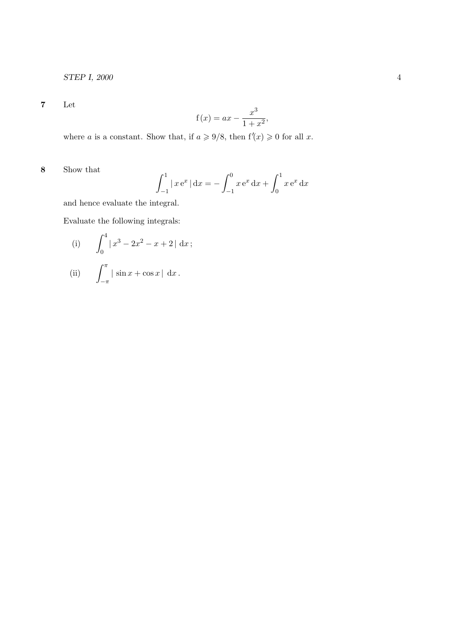7 Let

$$
f(x) = ax - \frac{x^3}{1+x^2},
$$

where a is a constant. Show that, if  $a \geq 9/8$ , then  $f'(x) \geq 0$  for all x.

8 Show that

$$
\int_{-1}^{1} |x e^{x}| dx = - \int_{-1}^{0} x e^{x} dx + \int_{0}^{1} x e^{x} dx
$$

and hence evaluate the integral.

Evaluate the following integrals:

 $-\pi$ 

(i) 
$$
\int_0^4 |x^3 - 2x^2 - x + 2| dx
$$
;  
(ii)  $\int_0^{\pi} |\sin x + \cos x| dx$ .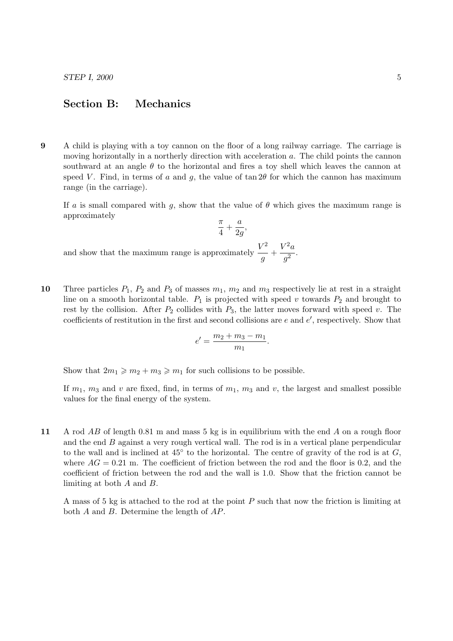## Section B: Mechanics

9 A child is playing with a toy cannon on the floor of a long railway carriage. The carriage is moving horizontally in a northerly direction with acceleration a. The child points the cannon southward at an angle  $\theta$  to the horizontal and fires a toy shell which leaves the cannon at speed V. Find, in terms of a and g, the value of  $\tan 2\theta$  for which the cannon has maximum range (in the carriage).

If a is small compared with q, show that the value of  $\theta$  which gives the maximum range is approximately π a

$$
\frac{\pi}{4} + \frac{\alpha}{2g},
$$
 and show that the maximum range is approximately 
$$
\frac{V^2}{g} + \frac{V^2 a}{g^2}.
$$

10 Three particles  $P_1$ ,  $P_2$  and  $P_3$  of masses  $m_1$ ,  $m_2$  and  $m_3$  respectively lie at rest in a straight line on a smooth horizontal table.  $P_1$  is projected with speed v towards  $P_2$  and brought to rest by the collision. After  $P_2$  collides with  $P_3$ , the latter moves forward with speed v. The coefficients of restitution in the first and second collisions are  $e$  and  $e'$ , respectively. Show that

$$
e' = \frac{m_2 + m_3 - m_1}{m_1}.
$$

Show that  $2m_1 \geq m_2 + m_3 \geq m_1$  for such collisions to be possible.

If  $m_1$ ,  $m_3$  and v are fixed, find, in terms of  $m_1$ ,  $m_3$  and v, the largest and smallest possible values for the final energy of the system.

11 A rod AB of length 0.81 m and mass 5 kg is in equilibrium with the end A on a rough floor and the end  $B$  against a very rough vertical wall. The rod is in a vertical plane perpendicular to the wall and is inclined at  $45^{\circ}$  to the horizontal. The centre of gravity of the rod is at  $G$ , where  $AG = 0.21$  m. The coefficient of friction between the rod and the floor is 0.2, and the coefficient of friction between the rod and the wall is 1.0. Show that the friction cannot be limiting at both A and B.

A mass of 5 kg is attached to the rod at the point P such that now the friction is limiting at both A and B. Determine the length of AP.